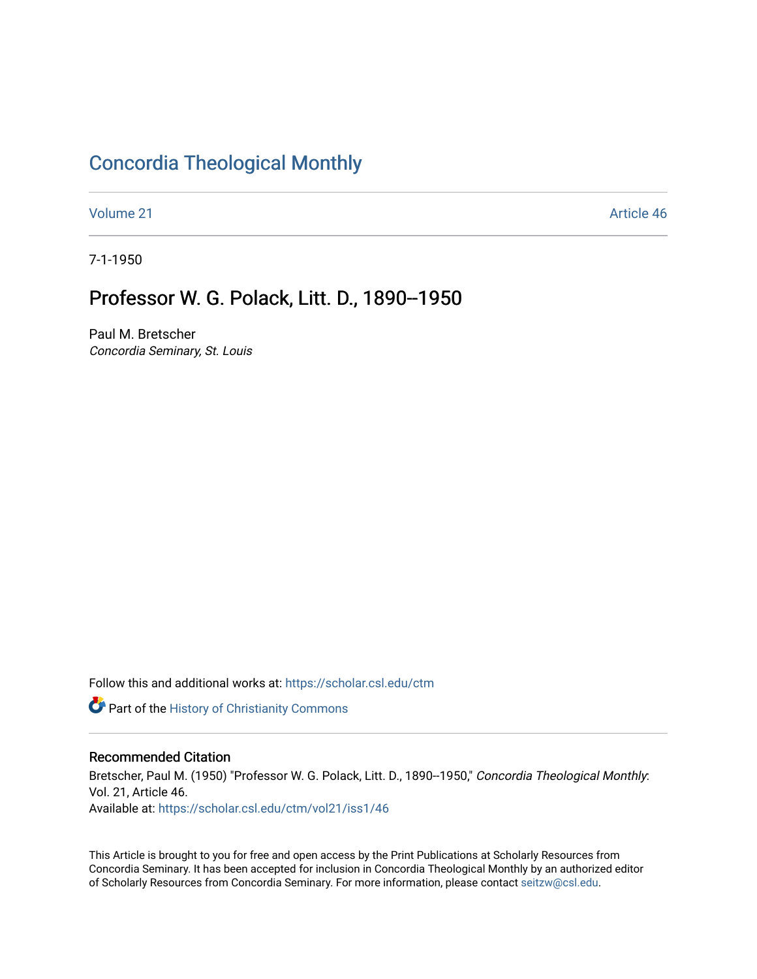### [Concordia Theological Monthly](https://scholar.csl.edu/ctm)

[Volume 21](https://scholar.csl.edu/ctm/vol21) Article 46

7-1-1950

# Professor W. G. Polack, Litt. D., 1890--1950

Paul M. Bretscher Concordia Seminary, St. Louis

Follow this and additional works at: [https://scholar.csl.edu/ctm](https://scholar.csl.edu/ctm?utm_source=scholar.csl.edu%2Fctm%2Fvol21%2Fiss1%2F46&utm_medium=PDF&utm_campaign=PDFCoverPages)

**Part of the History of Christianity Commons** 

### Recommended Citation

Bretscher, Paul M. (1950) "Professor W. G. Polack, Litt. D., 1890--1950," Concordia Theological Monthly: Vol. 21, Article 46. Available at: [https://scholar.csl.edu/ctm/vol21/iss1/46](https://scholar.csl.edu/ctm/vol21/iss1/46?utm_source=scholar.csl.edu%2Fctm%2Fvol21%2Fiss1%2F46&utm_medium=PDF&utm_campaign=PDFCoverPages) 

This Article is brought to you for free and open access by the Print Publications at Scholarly Resources from Concordia Seminary. It has been accepted for inclusion in Concordia Theological Monthly by an authorized editor of Scholarly Resources from Concordia Seminary. For more information, please contact [seitzw@csl.edu](mailto:seitzw@csl.edu).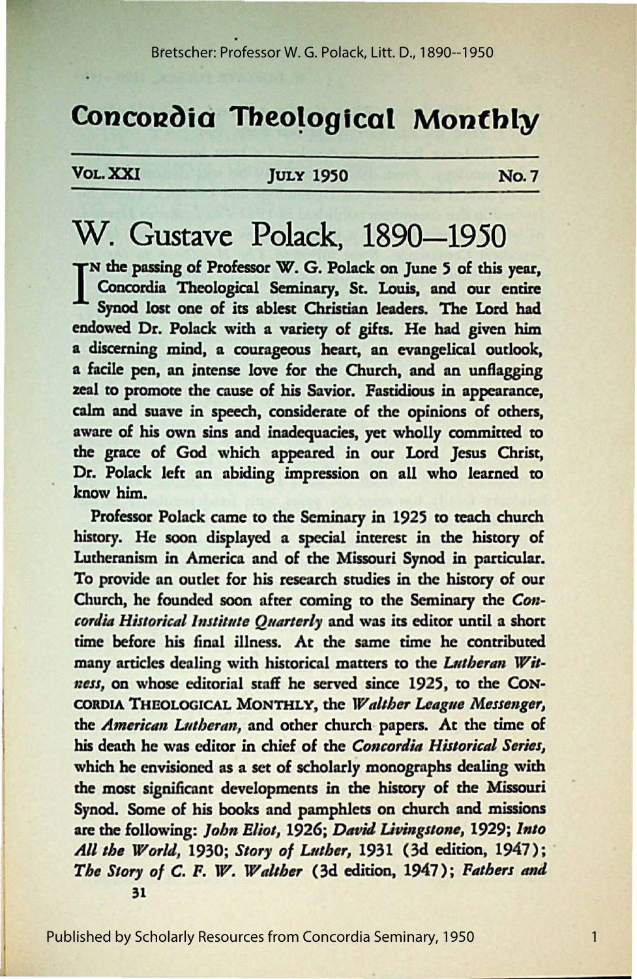# Concordia Theological Monthly

#### VOL. XXI

#### **JULY 1950**

**No.7** 

 $\mathbf{1}$ 

# W. Gustave Polack, 1890–1950

TN the passing of Professor W. G. Polack on June 5 of this year, Concordia Theological Seminary, St. Louis, and our entire Synod lost one of its ablest Christian leaders. The Lord had endowed Dr. Polack with a variety of gifts. He had given him a discerning mind, a courageous heart, an evangelical outlook, a facile pen, an intense love for the Church, and an unflagging zeal to promote the cause of his Savior. Fastidious in appearance, calm and suave in speech, considerate of the opinions of others, aware of his own sins and inadequacies, yet wholly committed to the grace of God which appeared in our Lord Jesus Christ, Dr. Polack left an abiding impression on all who learned to know him.

Professor Polack came to the Seminary in 1925 to teach church history. He soon displayed a special interest in the history of Lutheranism in America and of the Missouri Synod in particular. To provide an outlet for his research studies in the history of our Church, he founded soon after coming to the Seminary the Concordia Historical Institute Ouarterly and was its editor until a short time before his final illness. At the same time he contributed many articles dealing with historical matters to the Lutheran Witness, on whose editorial staff he served since 1925, to the CON-CORDIA THEOLOGICAL MONTHLY, the Walther League Messenger, the American Lutheran, and other church papers. At the time of his death he was editor in chief of the Concordia Historical Series, which he envisioned as a set of scholarly monographs dealing with the most significant developments in the history of the Missouri Synod. Some of his books and pamphlets on church and missions are the following: John Eliot, 1926; David Livingstone, 1929; Into All the World, 1930; Story of Luther, 1931 (3d edition, 1947); The Story of C. F. W. Walther (3d edition, 1947); Fathers and

 $31$